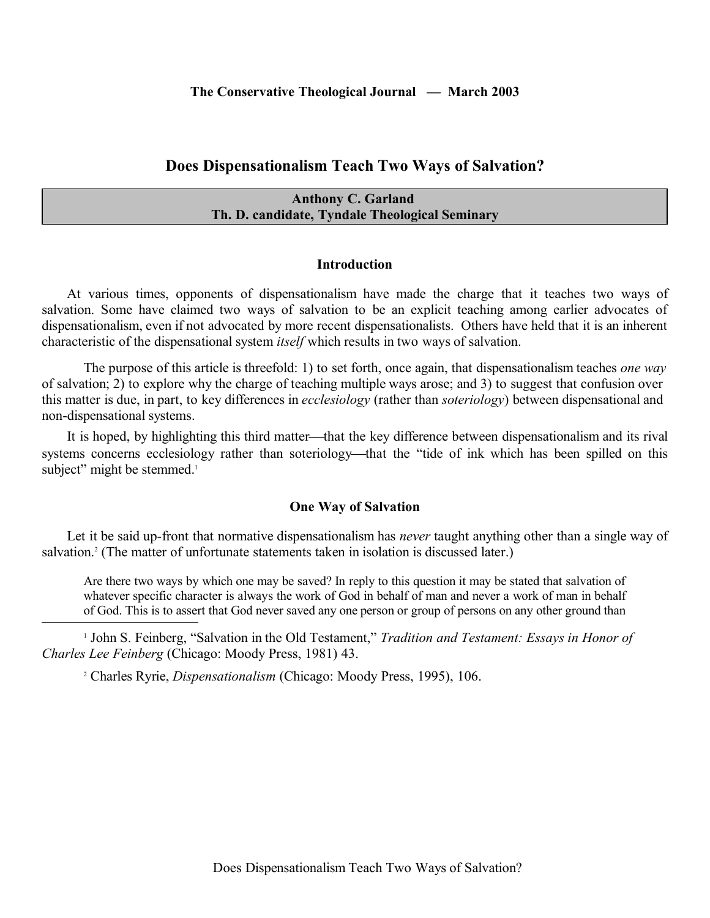# **Does Dispensationalism Teach Two Ways of Salvation?**

# **Anthony C. Garland Th. D. candidate, Tyndale Theological Seminary**

#### **Introduction**

At various times, opponents of dispensationalism have made the charge that it teaches two ways of salvation. Some have claimed two ways of salvation to be an explicit teaching among earlier advocates of dispensationalism, even if not advocated by more recent dispensationalists. Others have held that it is an inherent characteristic of the dispensational system *itself* which results in two ways of salvation.

The purpose of this article is threefold: 1) to set forth, once again, that dispensationalism teaches *one way* of salvation; 2) to explore why the charge of teaching multiple ways arose; and 3) to suggest that confusion over this matter is due, in part, to key differences in *ecclesiology* (rather than *soteriology*) between dispensational and non-dispensational systems.

It is hoped, by highlighting this third matter—that the key difference between dispensationalism and its rival systems concerns ecclesiology rather than soteriology—that the "tide of ink which has been spilled on this subject" might be stemmed.<sup>1</sup>

#### **One Way of Salvation**

Let it be said up-front that normative dispensationalism has *never* taught anything other than a single way of salvation.<sup>2</sup> (The matter of unfortunate statements taken in isolation is discussed later.)

Are there two ways by which one may be saved? In reply to this question it may be stated that salvation of whatever specific character is always the work of God in behalf of man and never a work of man in behalf of God. This is to assert that God never saved any one person or group of persons on any other ground than

<sup>1</sup> John S. Feinberg, "Salvation in the Old Testament," *Tradition and Testament: Essays in Honor of Charles Lee Feinberg* (Chicago: Moody Press, 1981) 43.

2 Charles Ryrie, *Dispensationalism* (Chicago: Moody Press, 1995), 106.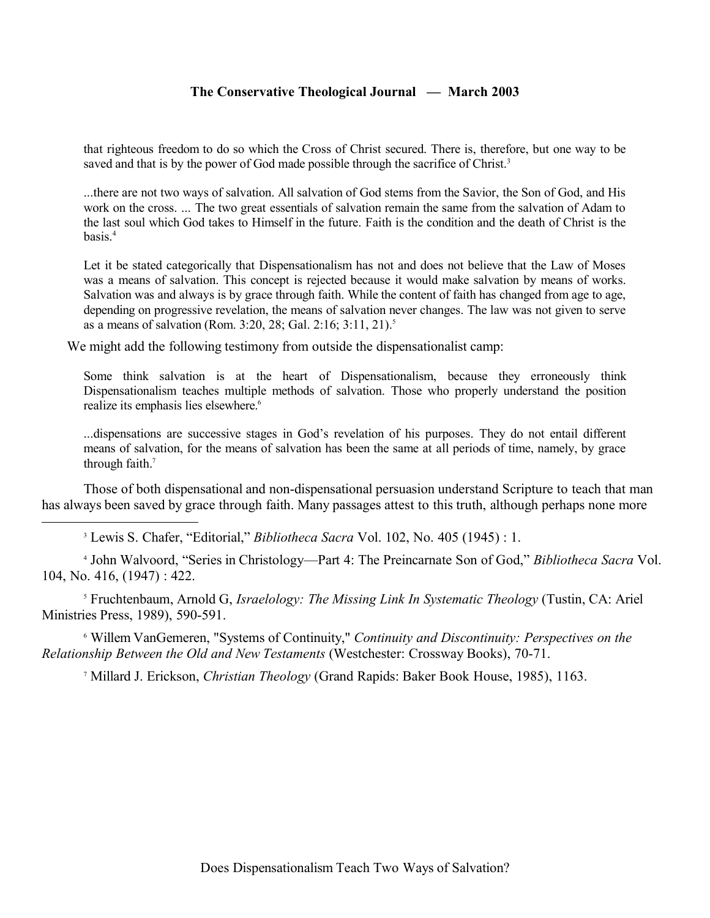that righteous freedom to do so which the Cross of Christ secured. There is, therefore, but one way to be saved and that is by the power of God made possible through the sacrifice of Christ.<sup>3</sup>

...there are not two ways of salvation. All salvation of God stems from the Savior, the Son of God, and His work on the cross. ... The two great essentials of salvation remain the same from the salvation of Adam to the last soul which God takes to Himself in the future. Faith is the condition and the death of Christ is the hasis $4$ 

Let it be stated categorically that Dispensationalism has not and does not believe that the Law of Moses was a means of salvation. This concept is rejected because it would make salvation by means of works. Salvation was and always is by grace through faith. While the content of faith has changed from age to age, depending on progressive revelation, the means of salvation never changes. The law was not given to serve as a means of salvation (Rom. 3:20, 28; Gal. 2:16; 3:11, 21).<sup>5</sup>

We might add the following testimony from outside the dispensationalist camp:

Some think salvation is at the heart of Dispensationalism, because they erroneously think Dispensationalism teaches multiple methods of salvation. Those who properly understand the position realize its emphasis lies elsewhere.<sup>6</sup>

...dispensations are successive stages in God's revelation of his purposes. They do not entail different means of salvation, for the means of salvation has been the same at all periods of time, namely, by grace through faith.<sup>7</sup>

Those of both dispensational and non-dispensational persuasion understand Scripture to teach that man has always been saved by grace through faith. Many passages attest to this truth, although perhaps none more

3 Lewis S. Chafer, "Editorial," *Bibliotheca Sacra* Vol. 102, No. 405 (1945) : 1.

4 John Walvoord, "Series in Christology—Part 4: The Preincarnate Son of God," *Bibliotheca Sacra* Vol. 104, No. 416, (1947) : 422.

5 Fruchtenbaum, Arnold G, *Israelology: The Missing Link In Systematic Theology* (Tustin, CA: Ariel Ministries Press, 1989), 590-591.

6 Willem VanGemeren, "Systems of Continuity," *Continuity and Discontinuity: Perspectives on the Relationship Between the Old and New Testaments* (Westchester: Crossway Books), 70-71.

7 Millard J. Erickson, *Christian Theology* (Grand Rapids: Baker Book House, 1985), 1163.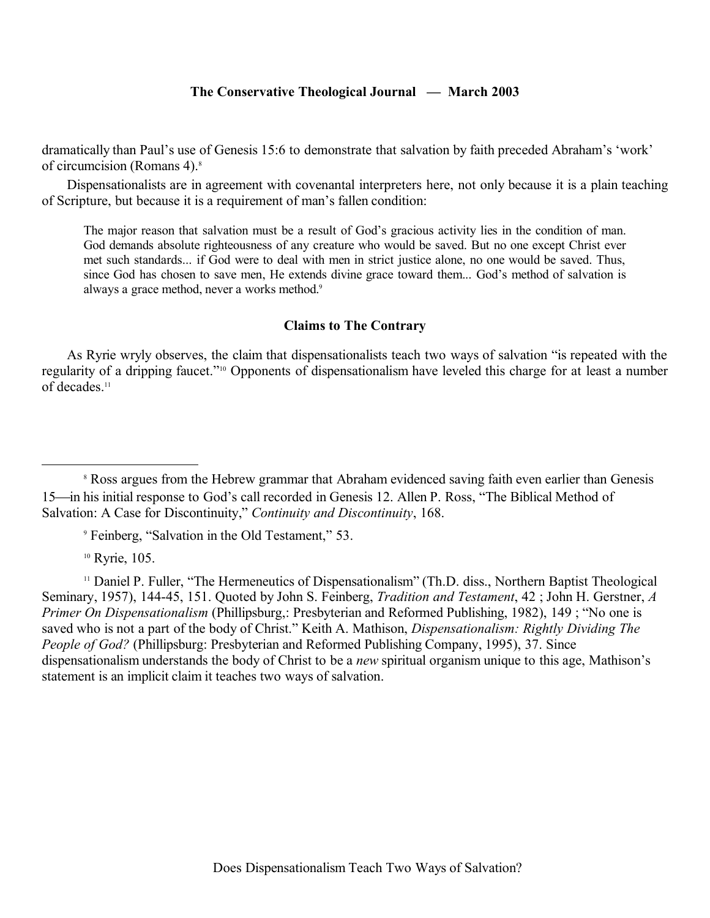dramatically than Paul's use of Genesis 15:6 to demonstrate that salvation by faith preceded Abraham's 'work' of circumcision (Romans 4).<sup>8</sup>

Dispensationalists are in agreement with covenantal interpreters here, not only because it is a plain teaching of Scripture, but because it is a requirement of man's fallen condition:

The major reason that salvation must be a result of God's gracious activity lies in the condition of man. God demands absolute righteousness of any creature who would be saved. But no one except Christ ever met such standards... if God were to deal with men in strict justice alone, no one would be saved. Thus, since God has chosen to save men, He extends divine grace toward them... God's method of salvation is always a grace method, never a works method.<sup>9</sup>

#### **Claims to The Contrary**

As Ryrie wryly observes, the claim that dispensationalists teach two ways of salvation "is repeated with the regularity of a dripping faucet."10 Opponents of dispensationalism have leveled this charge for at least a number of decades.<sup>11</sup>

9 Feinberg, "Salvation in the Old Testament," 53.

<sup>10</sup> Ryrie, 105.

<sup>11</sup> Daniel P. Fuller, "The Hermeneutics of Dispensationalism" (Th.D. diss., Northern Baptist Theological Seminary, 1957), 144-45, 151. Quoted by John S. Feinberg, *Tradition and Testament*, 42 ; John H. Gerstner, *A Primer On Dispensationalism* (Phillipsburg,: Presbyterian and Reformed Publishing, 1982), 149 ; "No one is saved who is not a part of the body of Christ." Keith A. Mathison, *Dispensationalism: Rightly Dividing The People of God?* (Phillipsburg: Presbyterian and Reformed Publishing Company, 1995), 37. Since dispensationalism understands the body of Christ to be a *new* spiritual organism unique to this age, Mathison's statement is an implicit claim it teaches two ways of salvation.

<sup>&</sup>lt;sup>8</sup> Ross argues from the Hebrew grammar that Abraham evidenced saving faith even earlier than Genesis 15—in his initial response to God's call recorded in Genesis 12. Allen P. Ross, "The Biblical Method of Salvation: A Case for Discontinuity," *Continuity and Discontinuity*, 168.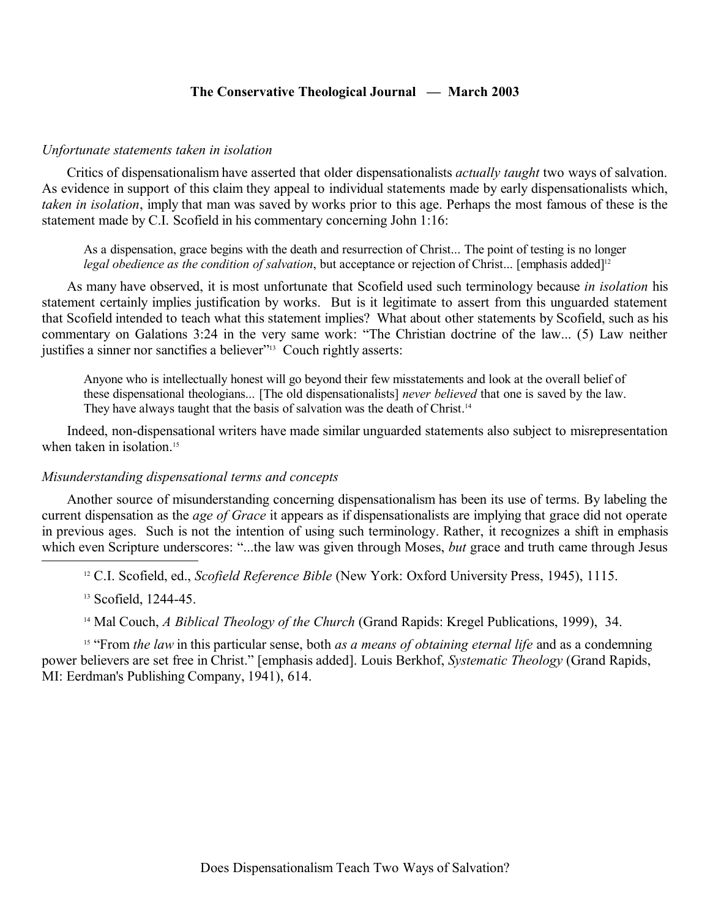#### *Unfortunate statements taken in isolation*

Critics of dispensationalism have asserted that older dispensationalists *actually taught* two ways of salvation. As evidence in support of this claim they appeal to individual statements made by early dispensationalists which, *taken in isolation*, imply that man was saved by works prior to this age. Perhaps the most famous of these is the statement made by C.I. Scofield in his commentary concerning John 1:16:

As a dispensation, grace begins with the death and resurrection of Christ... The point of testing is no longer *legal obedience as the condition of salvation*, but acceptance or rejection of Christ... [emphasis added]<sup>12</sup>

As many have observed, it is most unfortunate that Scofield used such terminology because *in isolation* his statement certainly implies justification by works. But is it legitimate to assert from this unguarded statement that Scofield intended to teach what this statement implies? What about other statements by Scofield, such as his commentary on Galations 3:24 in the very same work: "The Christian doctrine of the law... (5) Law neither justifies a sinner nor sanctifies a believer"<sup>13</sup> Couch rightly asserts:

Anyone who is intellectually honest will go beyond their few misstatements and look at the overall belief of these dispensational theologians... [The old dispensationalists] *never believed* that one is saved by the law. They have always taught that the basis of salvation was the death of Christ.<sup>14</sup>

Indeed, non-dispensational writers have made similar unguarded statements also subject to misrepresentation when taken in isolation.<sup>15</sup>

#### *Misunderstanding dispensational terms and concepts*

Another source of misunderstanding concerning dispensationalism has been its use of terms. By labeling the current dispensation as the *age of Grace* it appears as if dispensationalists are implying that grace did not operate in previous ages. Such is not the intention of using such terminology. Rather, it recognizes a shift in emphasis which even Scripture underscores: "...the law was given through Moses, *but* grace and truth came through Jesus

<sup>12</sup> C.I. Scofield, ed., *Scofield Reference Bible* (New York: Oxford University Press, 1945), 1115.

<sup>13</sup> Scofield, 1244-45.

<sup>14</sup> Mal Couch, *A Biblical Theology of the Church* (Grand Rapids: Kregel Publications, 1999), 34.

<sup>15</sup> "From *the law* in this particular sense, both *as a means of obtaining eternal life* and as a condemning power believers are set free in Christ." [emphasis added]. Louis Berkhof, *Systematic Theology* (Grand Rapids, MI: Eerdman's Publishing Company, 1941), 614.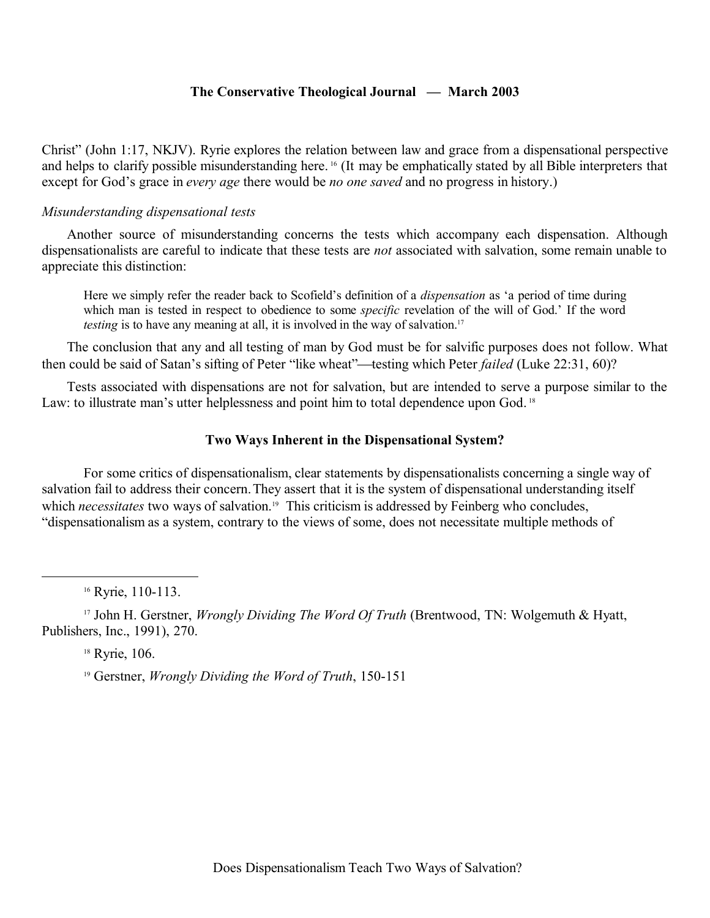Christ" (John 1:17, NKJV). Ryrie explores the relation between law and grace from a dispensational perspective and helps to clarify possible misunderstanding here. 16 (It may be emphatically stated by all Bible interpreters that except for God's grace in *every age* there would be *no one saved* and no progress in history.)

### *Misunderstanding dispensational tests*

Another source of misunderstanding concerns the tests which accompany each dispensation. Although dispensationalists are careful to indicate that these tests are *not* associated with salvation, some remain unable to appreciate this distinction:

Here we simply refer the reader back to Scofield's definition of a *dispensation* as 'a period of time during which man is tested in respect to obedience to some *specific* revelation of the will of God.' If the word *testing* is to have any meaning at all, it is involved in the way of salvation.<sup>17</sup>

The conclusion that any and all testing of man by God must be for salvific purposes does not follow. What then could be said of Satan's sifting of Peter "like wheat"—testing which Peter *failed* (Luke 22:31, 60)?

Tests associated with dispensations are not for salvation, but are intended to serve a purpose similar to the Law: to illustrate man's utter helplessness and point him to total dependence upon God.<sup>18</sup>

## **Two Ways Inherent in the Dispensational System?**

For some critics of dispensationalism, clear statements by dispensationalists concerning a single way of salvation fail to address their concern.They assert that it is the system of dispensational understanding itself which *necessitates* two ways of salvation.<sup>19</sup> This criticism is addressed by Feinberg who concludes, "dispensationalism as a system, contrary to the views of some, does not necessitate multiple methods of

<sup>16</sup> Ryrie, 110-113.

<sup>17</sup> John H. Gerstner, *Wrongly Dividing The Word Of Truth* (Brentwood, TN: Wolgemuth & Hyatt, Publishers, Inc., 1991), 270.

<sup>18</sup> Ryrie, 106.

<sup>19</sup> Gerstner, *Wrongly Dividing the Word of Truth*, 150-151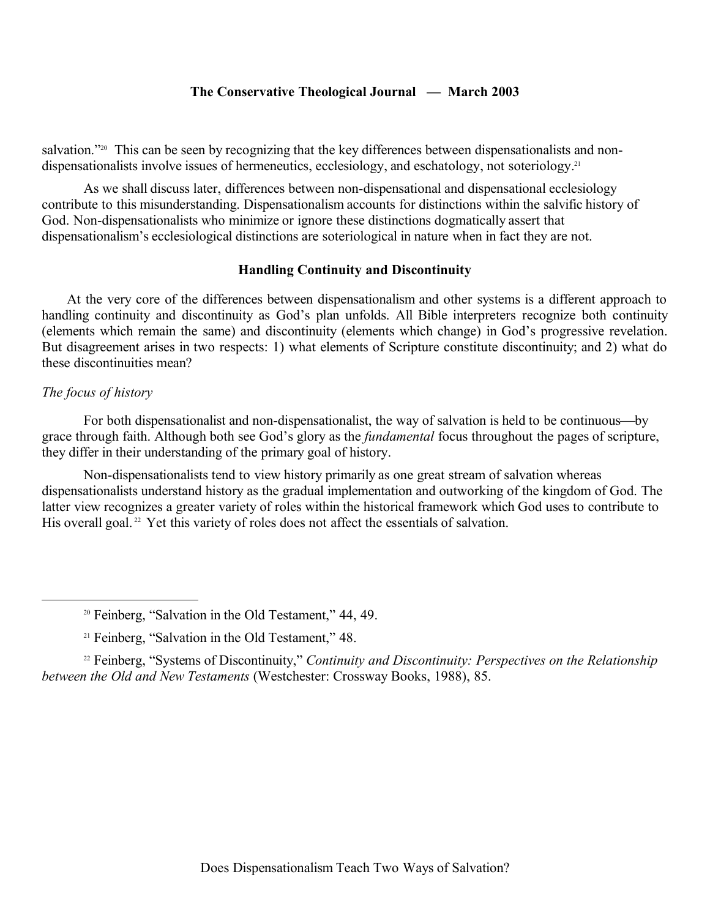salvation."<sup>20</sup> This can be seen by recognizing that the key differences between dispensationalists and nondispensationalists involve issues of hermeneutics, ecclesiology, and eschatology, not soteriology.<sup>21</sup>

As we shall discuss later, differences between non-dispensational and dispensational ecclesiology contribute to this misunderstanding. Dispensationalism accounts for distinctions within the salvific history of God. Non-dispensationalists who minimize or ignore these distinctions dogmatically assert that dispensationalism's ecclesiological distinctions are soteriological in nature when in fact they are not.

# **Handling Continuity and Discontinuity**

At the very core of the differences between dispensationalism and other systems is a different approach to handling continuity and discontinuity as God's plan unfolds. All Bible interpreters recognize both continuity (elements which remain the same) and discontinuity (elements which change) in God's progressive revelation. But disagreement arises in two respects: 1) what elements of Scripture constitute discontinuity; and 2) what do these discontinuities mean?

### *The focus of history*

For both dispensationalist and non-dispensationalist, the way of salvation is held to be continuous-by grace through faith. Although both see God's glory as the *fundamental* focus throughout the pages of scripture, they differ in their understanding of the primary goal of history.

Non-dispensationalists tend to view history primarily as one great stream of salvation whereas dispensationalists understand history as the gradual implementation and outworking of the kingdom of God. The latter view recognizes a greater variety of roles within the historical framework which God uses to contribute to His overall goal.<sup>22</sup> Yet this variety of roles does not affect the essentials of salvation.

<sup>20</sup> Feinberg, "Salvation in the Old Testament," 44, 49.

<sup>&</sup>lt;sup>21</sup> Feinberg, "Salvation in the Old Testament," 48.

<sup>&</sup>lt;sup>22</sup> Feinberg, "Systems of Discontinuity," *Continuity and Discontinuity: Perspectives on the Relationship between the Old and New Testaments* (Westchester: Crossway Books, 1988), 85.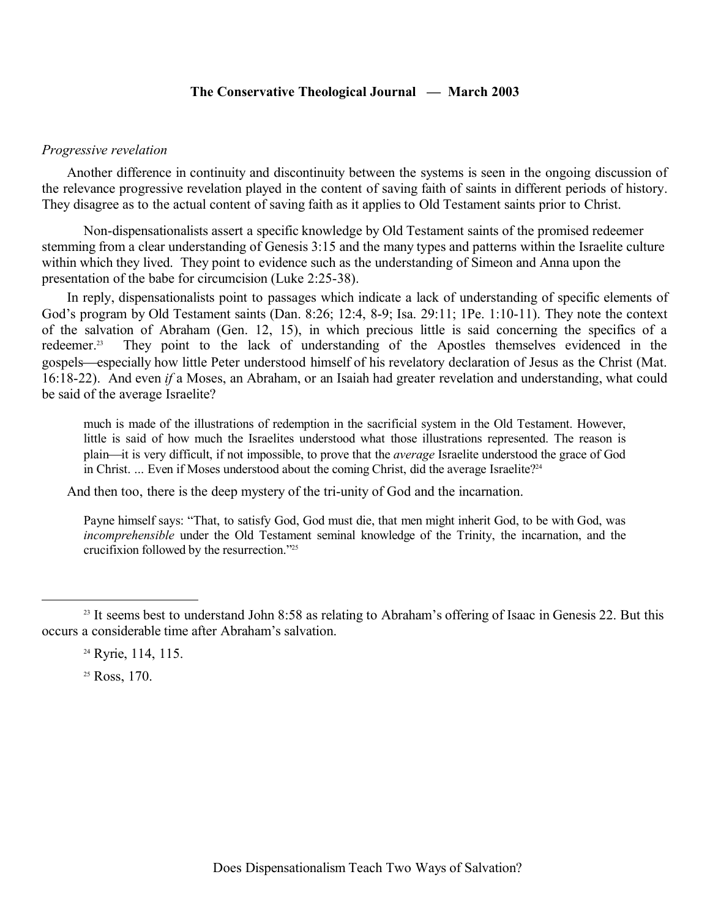#### *Progressive revelation*

Another difference in continuity and discontinuity between the systems is seen in the ongoing discussion of the relevance progressive revelation played in the content of saving faith of saints in different periods of history. They disagree as to the actual content of saving faith as it applies to Old Testament saints prior to Christ.

Non-dispensationalists assert a specific knowledge by Old Testament saints of the promised redeemer stemming from a clear understanding of Genesis 3:15 and the many types and patterns within the Israelite culture within which they lived. They point to evidence such as the understanding of Simeon and Anna upon the presentation of the babe for circumcision (Luke 2:25-38).

In reply, dispensationalists point to passages which indicate a lack of understanding of specific elements of God's program by Old Testament saints (Dan. 8:26; 12:4, 8-9; Isa. 29:11; 1Pe. 1:10-11). They note the context of the salvation of Abraham (Gen. 12, 15), in which precious little is said concerning the specifics of a redeemer.<sup>23</sup> They point to the lack of understanding of the Apostles themselves evidenced in the They point to the lack of understanding of the Apostles themselves evidenced in the gospels—especially how little Peter understood himself of his revelatory declaration of Jesus as the Christ (Mat. 16:18-22). And even *if* a Moses, an Abraham, or an Isaiah had greater revelation and understanding, what could be said of the average Israelite?

much is made of the illustrations of redemption in the sacrificial system in the Old Testament. However, little is said of how much the Israelites understood what those illustrations represented. The reason is plain—it is very difficult, if not impossible, to prove that the *average* Israelite understood the grace of God in Christ. ... Even if Moses understood about the coming Christ, did the average Israelite?<sup>24</sup>

And then too, there is the deep mystery of the tri-unity of God and the incarnation.

Payne himself says: "That, to satisfy God, God must die, that men might inherit God, to be with God, was *incomprehensible* under the Old Testament seminal knowledge of the Trinity, the incarnation, and the crucifixion followed by the resurrection."<sup>25</sup>

<sup>25</sup> Ross, 170.

<sup>&</sup>lt;sup>23</sup> It seems best to understand John 8:58 as relating to Abraham's offering of Isaac in Genesis 22. But this occurs a considerable time after Abraham's salvation.

<sup>&</sup>lt;sup>24</sup> Ryrie, 114, 115.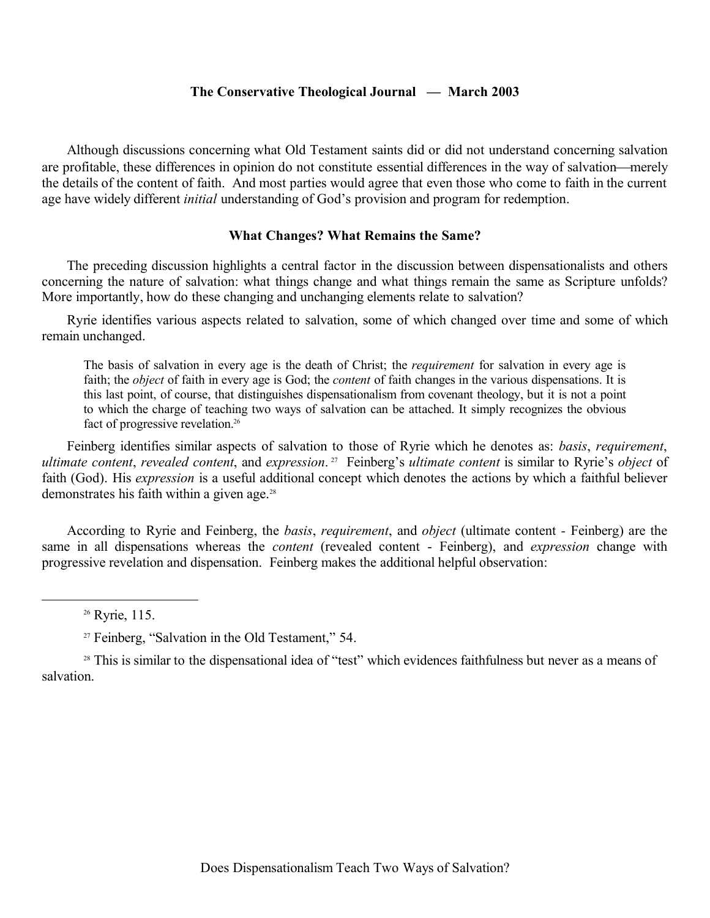Although discussions concerning what Old Testament saints did or did not understand concerning salvation are profitable, these differences in opinion do not constitute essential differences in the way of salvation—merely the details of the content of faith. And most parties would agree that even those who come to faith in the current age have widely different *initial* understanding of God's provision and program for redemption.

#### **What Changes? What Remains the Same?**

The preceding discussion highlights a central factor in the discussion between dispensationalists and others concerning the nature of salvation: what things change and what things remain the same as Scripture unfolds? More importantly, how do these changing and unchanging elements relate to salvation?

Ryrie identifies various aspects related to salvation, some of which changed over time and some of which remain unchanged.

The basis of salvation in every age is the death of Christ; the *requirement* for salvation in every age is faith; the *object* of faith in every age is God; the *content* of faith changes in the various dispensations. It is this last point, of course, that distinguishes dispensationalism from covenant theology, but it is not a point to which the charge of teaching two ways of salvation can be attached. It simply recognizes the obvious fact of progressive revelation.<sup>26</sup>

Feinberg identifies similar aspects of salvation to those of Ryrie which he denotes as: *basis*, *requirement*, *ultimate content*, *revealed content*, and *expression*. <sup>27</sup> Feinberg's *ultimate content* is similar to Ryrie's *object* of faith (God). His *expression* is a useful additional concept which denotes the actions by which a faithful believer demonstrates his faith within a given age. $28$ 

According to Ryrie and Feinberg, the *basis*, *requirement*, and *object* (ultimate content *-* Feinberg) are the same in all dispensations whereas the *content* (revealed content - Feinberg), and *expression* change with progressive revelation and dispensation. Feinberg makes the additional helpful observation:

<sup>28</sup> This is similar to the dispensational idea of "test" which evidences faithfulness but never as a means of salvation.

<sup>26</sup> Ryrie, 115.

<sup>27</sup> Feinberg, "Salvation in the Old Testament," 54.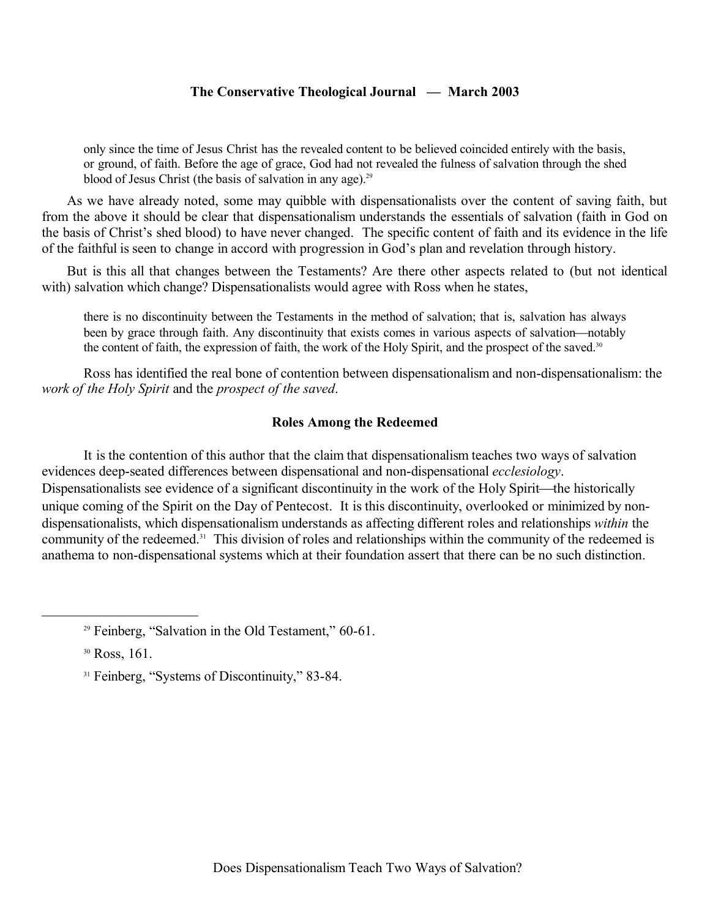only since the time of Jesus Christ has the revealed content to be believed coincided entirely with the basis, or ground, of faith. Before the age of grace, God had not revealed the fulness of salvation through the shed blood of Jesus Christ (the basis of salvation in any age).<sup>29</sup>

As we have already noted, some may quibble with dispensationalists over the content of saving faith, but from the above it should be clear that dispensationalism understands the essentials of salvation (faith in God on the basis of Christ's shed blood) to have never changed. The specific content of faith and its evidence in the life of the faithful is seen to change in accord with progression in God's plan and revelation through history.

But is this all that changes between the Testaments? Are there other aspects related to (but not identical with) salvation which change? Dispensationalists would agree with Ross when he states,

there is no discontinuity between the Testaments in the method of salvation; that is, salvation has always been by grace through faith. Any discontinuity that exists comes in various aspects of salvation—notably the content of faith, the expression of faith, the work of the Holy Spirit, and the prospect of the saved.<sup>30</sup>

Ross has identified the real bone of contention between dispensationalism and non-dispensationalism: the *work of the Holy Spirit* and the *prospect of the saved*.

### **Roles Among the Redeemed**

It is the contention of this author that the claim that dispensationalism teaches two ways of salvation evidences deep-seated differences between dispensational and non-dispensational *ecclesiology*. Dispensationalists see evidence of a significant discontinuity in the work of the Holy Spirit—the historically unique coming of the Spirit on the Day of Pentecost. It is this discontinuity, overlooked or minimized by nondispensationalists, which dispensationalism understands as affecting different roles and relationships *within* the community of the redeemed.<sup>31</sup> This division of roles and relationships within the community of the redeemed is anathema to non-dispensational systems which at their foundation assert that there can be no such distinction.

<sup>&</sup>lt;sup>29</sup> Feinberg, "Salvation in the Old Testament," 60-61.

<sup>30</sup> Ross, 161.

<sup>&</sup>lt;sup>31</sup> Feinberg, "Systems of Discontinuity," 83-84.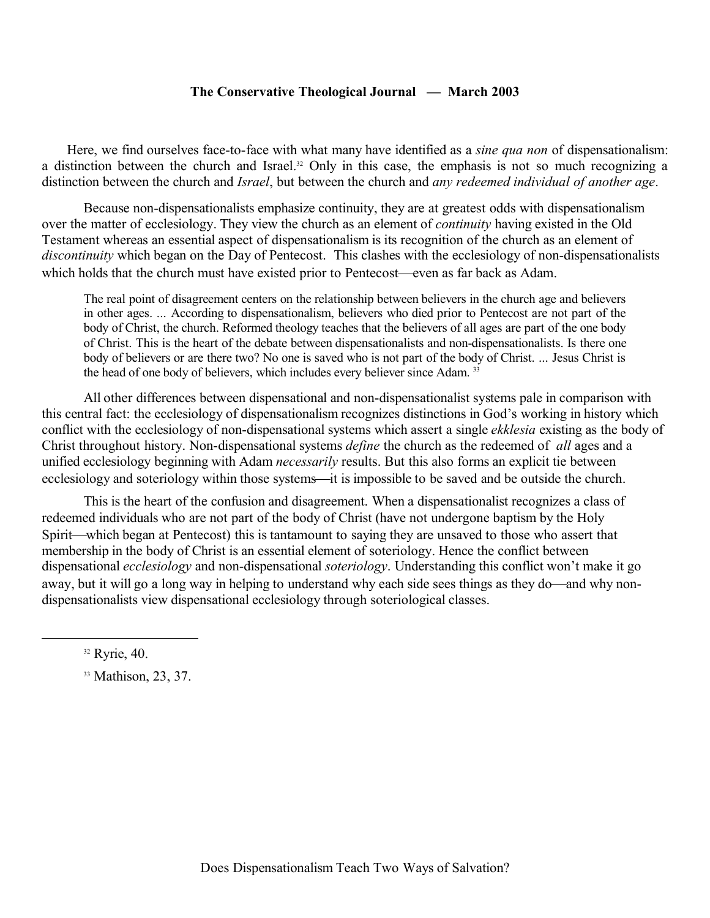Here, we find ourselves face-to-face with what many have identified as a *sine qua non* of dispensationalism: a distinction between the church and Israel.<sup>32</sup> Only in this case, the emphasis is not so much recognizing a distinction between the church and *Israel*, but between the church and *any redeemed individual of another age*.

Because non-dispensationalists emphasize continuity, they are at greatest odds with dispensationalism over the matter of ecclesiology. They view the church as an element of *continuity* having existed in the Old Testament whereas an essential aspect of dispensationalism is its recognition of the church as an element of *discontinuity* which began on the Day of Pentecost. This clashes with the ecclesiology of non-dispensationalists which holds that the church must have existed prior to Pentecost—even as far back as Adam.

The real point of disagreement centers on the relationship between believers in the church age and believers in other ages. ... According to dispensationalism, believers who died prior to Pentecost are not part of the body of Christ, the church. Reformed theology teaches that the believers of all ages are part of the one body of Christ. This is the heart of the debate between dispensationalists and non-dispensationalists. Is there one body of believers or are there two? No one is saved who is not part of the body of Christ. ... Jesus Christ is the head of one body of believers, which includes every believer since Adam. <sup>33</sup>

All other differences between dispensational and non-dispensationalist systems pale in comparison with this central fact: the ecclesiology of dispensationalism recognizes distinctions in God's working in history which conflict with the ecclesiology of non-dispensational systems which assert a single *ekklesia* existing as the body of Christ throughout history. Non-dispensational systems *define* the church as the redeemed of *all* ages and a unified ecclesiology beginning with Adam *necessarily* results. But this also forms an explicit tie between ecclesiology and soteriology within those systems—it is impossible to be saved and be outside the church.

This is the heart of the confusion and disagreement. When a dispensationalist recognizes a class of redeemed individuals who are not part of the body of Christ (have not undergone baptism by the Holy Spirit—which began at Pentecost) this is tantamount to saying they are unsaved to those who assert that membership in the body of Christ is an essential element of soteriology. Hence the conflict between dispensational *ecclesiology* and non-dispensational *soteriology*. Understanding this conflict won't make it go away, but it will go a long way in helping to understand why each side sees things as they do—and why nondispensationalists view dispensational ecclesiology through soteriological classes.

 $32$  Ryrie, 40.

<sup>&</sup>lt;sup>33</sup> Mathison, 23, 37.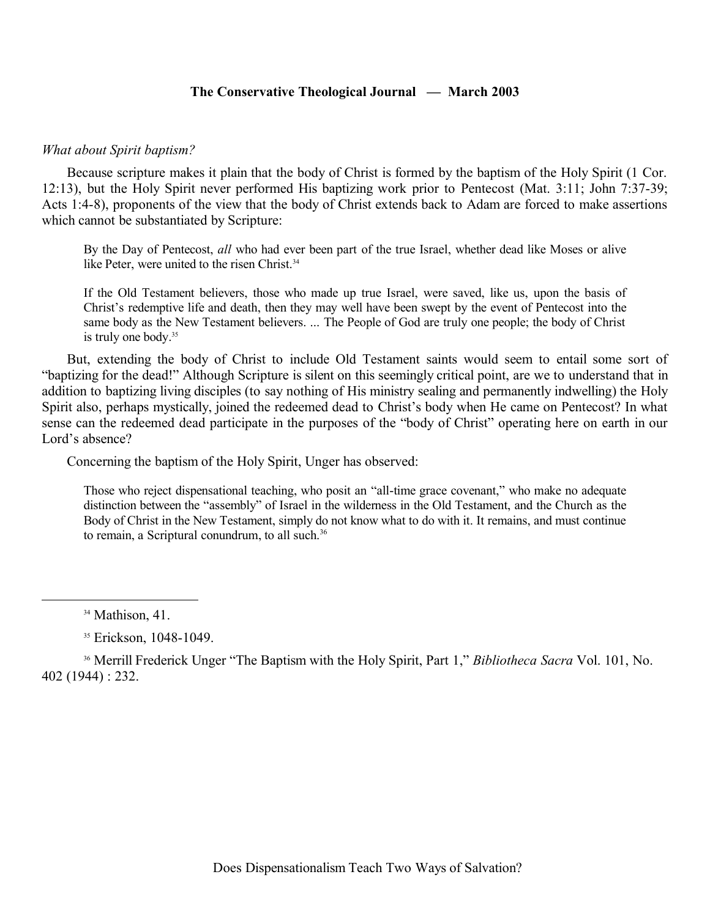### *What about Spirit baptism?*

Because scripture makes it plain that the body of Christ is formed by the baptism of the Holy Spirit (1 Cor. 12:13), but the Holy Spirit never performed His baptizing work prior to Pentecost (Mat. 3:11; John 7:37-39; Acts 1:4-8), proponents of the view that the body of Christ extends back to Adam are forced to make assertions which cannot be substantiated by Scripture:

By the Day of Pentecost, *all* who had ever been part of the true Israel, whether dead like Moses or alive like Peter, were united to the risen Christ.<sup>34</sup>

If the Old Testament believers, those who made up true Israel, were saved, like us, upon the basis of Christ's redemptive life and death, then they may well have been swept by the event of Pentecost into the same body as the New Testament believers. ... The People of God are truly one people; the body of Christ is truly one body.<sup>35</sup>

But, extending the body of Christ to include Old Testament saints would seem to entail some sort of "baptizing for the dead!" Although Scripture is silent on this seemingly critical point, are we to understand that in addition to baptizing living disciples (to say nothing of His ministry sealing and permanently indwelling) the Holy Spirit also, perhaps mystically, joined the redeemed dead to Christ's body when He came on Pentecost? In what sense can the redeemed dead participate in the purposes of the "body of Christ" operating here on earth in our Lord's absence?

Concerning the baptism of the Holy Spirit, Unger has observed:

Those who reject dispensational teaching, who posit an "all-time grace covenant," who make no adequate distinction between the "assembly" of Israel in the wilderness in the Old Testament, and the Church as the Body of Christ in the New Testament, simply do not know what to do with it. It remains, and must continue to remain, a Scriptural conundrum, to all such.<sup>36</sup>

<sup>36</sup> Merrill Frederick Unger "The Baptism with the Holy Spirit, Part 1," *Bibliotheca Sacra* Vol. 101, No. 402 (1944) : 232.

<sup>&</sup>lt;sup>34</sup> Mathison, 41.

<sup>&</sup>lt;sup>35</sup> Erickson, 1048-1049.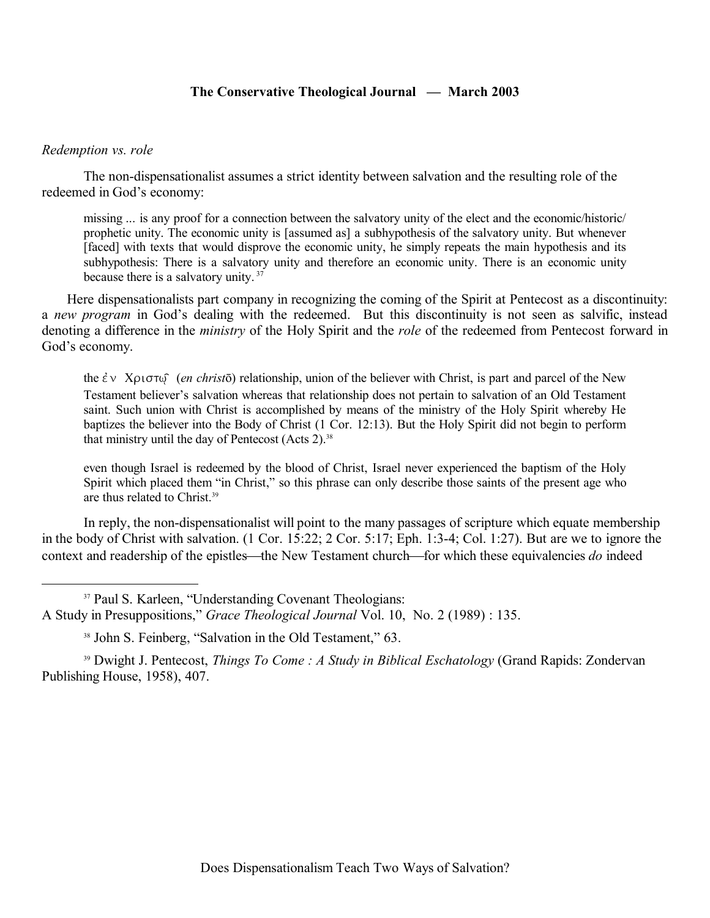#### *Redemption vs. role*

The non-dispensationalist assumes a strict identity between salvation and the resulting role of the redeemed in God's economy:

missing ... is any proof for a connection between the salvatory unity of the elect and the economic/historic/ prophetic unity. The economic unity is [assumed as] a subhypothesis of the salvatory unity. But whenever [faced] with texts that would disprove the economic unity, he simply repeats the main hypothesis and its subhypothesis: There is a salvatory unity and therefore an economic unity. There is an economic unity because there is a salvatory unity.  $37$ 

Here dispensationalists part company in recognizing the coming of the Spirit at Pentecost as a discontinuity: a *new program* in God's dealing with the redeemed. But this discontinuity is not seen as salvific, instead denoting a difference in the *ministry* of the Holy Spirit and the *role* of the redeemed from Pentecost forward in God's economy.

the  $\dot{\epsilon}$   $\vee$  X $\rho$ <sub>1</sub> $\sigma$  (*en christ* $\bar{\sigma}$ ) relationship, union of the believer with Christ, is part and parcel of the New Testament believer's salvation whereas that relationship does not pertain to salvation of an Old Testament saint. Such union with Christ is accomplished by means of the ministry of the Holy Spirit whereby He baptizes the believer into the Body of Christ (1 Cor. 12:13). But the Holy Spirit did not begin to perform that ministry until the day of Pentecost (Acts 2).<sup>38</sup>

even though Israel is redeemed by the blood of Christ, Israel never experienced the baptism of the Holy Spirit which placed them "in Christ," so this phrase can only describe those saints of the present age who are thus related to Christ.<sup>39</sup>

In reply, the non-dispensationalist will point to the many passages of scripture which equate membership in the body of Christ with salvation. (1 Cor. 15:22; 2 Cor. 5:17; Eph. 1:3-4; Col. 1:27). But are we to ignore the context and readership of the epistles—the New Testament church—for which these equivalencies *do* indeed

<sup>37</sup> Paul S. Karleen, "Understanding Covenant Theologians: A Study in Presuppositions," *Grace Theological Journal* Vol. 10, No. 2 (1989) : 135.

<sup>39</sup> Dwight J. Pentecost, *Things To Come : A Study in Biblical Eschatology* (Grand Rapids: Zondervan Publishing House, 1958), 407.

<sup>38</sup> John S. Feinberg, "Salvation in the Old Testament," 63.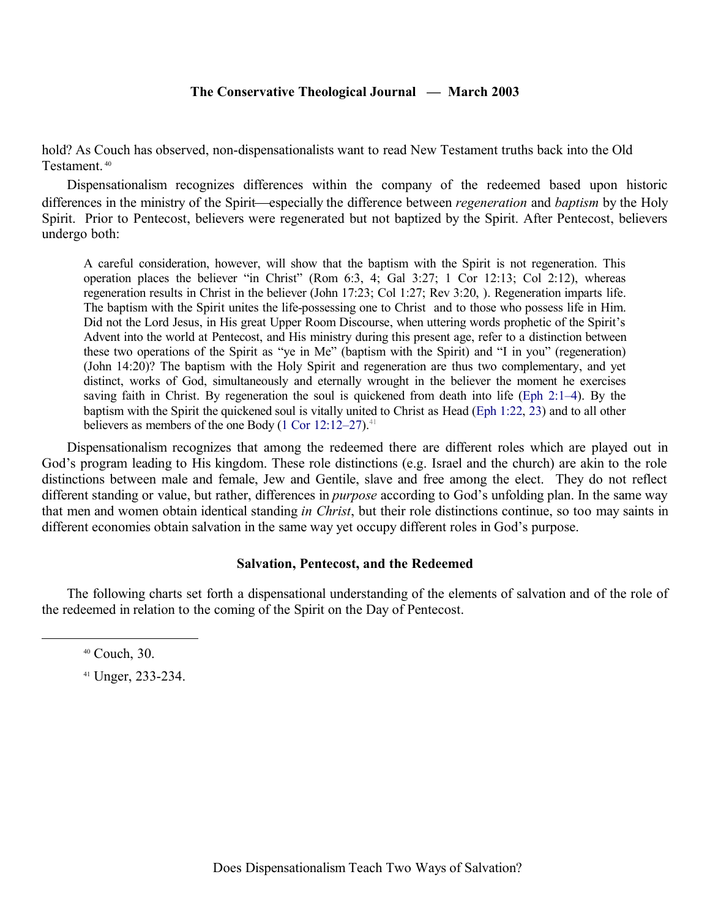hold? As Couch has observed, non-dispensationalists want to read New Testament truths back into the Old Testament.<sup>40</sup>

Dispensationalism recognizes differences within the company of the redeemed based upon historic differences in the ministry of the Spirit—especially the difference between *regeneration* and *baptism* by the Holy Spirit. Prior to Pentecost, believers were regenerated but not baptized by the Spirit. After Pentecost, believers undergo both:

A careful consideration, however, will show that the baptism with the Spirit is not regeneration. This operation places the believer "in Christ" (Rom 6:3, 4; Gal 3:27; 1 Cor 12:13; Col 2:12), whereas regeneration results in Christ in the believer (John 17:23; Col 1:27; Rev 3:20, ). Regeneration imparts life. The baptism with the Spirit unites the life-possessing one to Christ and to those who possess life in Him. Did not the Lord Jesus, in His great Upper Room Discourse, when uttering words prophetic of the Spirit's Advent into the world at Pentecost, and His ministry during this present age, refer to a distinction between these two operations of the Spirit as "ye in Me" (baptism with the Spirit) and "I in you" (regeneration) (John 14:20)? The baptism with the Holy Spirit and regeneration are thus two complementary, and yet distinct, works of God, simultaneously and eternally wrought in the believer the moment he exercises saving faith in Christ. By regeneration the soul is quickened from death into life (Eph 2:1–4). By the baptism with the Spirit the quickened soul is vitally united to Christ as Head (Eph 1:22, 23) and to all other believers as members of the one Body  $(1 \text{ Cor } 12:12-27).$ <sup>41</sup>

Dispensationalism recognizes that among the redeemed there are different roles which are played out in God's program leading to His kingdom. These role distinctions (e.g. Israel and the church) are akin to the role distinctions between male and female, Jew and Gentile, slave and free among the elect. They do not reflect different standing or value, but rather, differences in *purpose* according to God's unfolding plan. In the same way that men and women obtain identical standing *in Christ*, but their role distinctions continue, so too may saints in different economies obtain salvation in the same way yet occupy different roles in God's purpose.

#### **Salvation, Pentecost, and the Redeemed**

The following charts set forth a dispensational understanding of the elements of salvation and of the role of the redeemed in relation to the coming of the Spirit on the Day of Pentecost.

<sup>41</sup> Unger, 233-234.

<sup>40</sup> Couch, 30.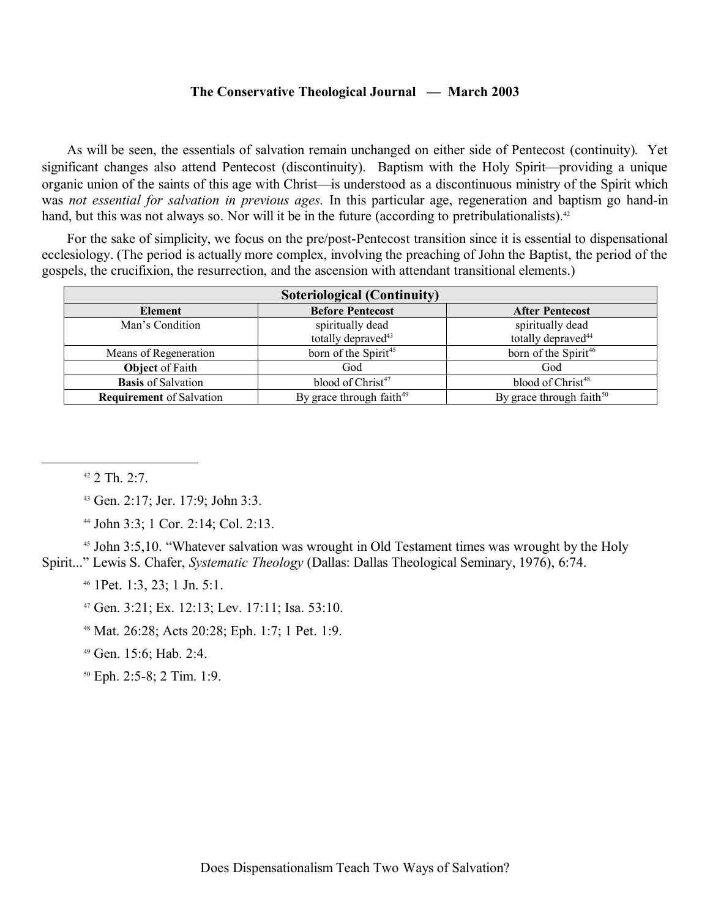As will be seen, the essentials of salvation remain unchanged on either side of Pentecost (continuity). Yet significant changes also attend Pentecost (discontinuity). Baptism with the Holy Spirit—providing a unique organic union of the saints of this age with Christ—is understood as a discontinuous ministry of the Spirit which was *not essential for salvation in previous ages.* In this particular age, regeneration and baptism go hand-in hand, but this was not always so. Nor will it be in the future (according to pretribulationalists).<sup>42</sup>

For the sake of simplicity, we focus on the pre/post-Pentecost transition since it is essential to dispensational ecclesiology. (The period is actually more complex, involving the preaching of John the Baptist, the period of the gospels, the crucifixion, the resurrection, and the ascension with attendant transitional elements.)

| Soteriological (Continuity)     |                                                    |                                                    |  |
|---------------------------------|----------------------------------------------------|----------------------------------------------------|--|
| <b>Element</b>                  | <b>Before Pentecost</b>                            | <b>After Pentecost</b>                             |  |
| Man's Condition                 | spiritually dead<br>totally depraved <sup>43</sup> | spiritually dead<br>totally depraved <sup>44</sup> |  |
| Means of Regeneration           | born of the Spirit <sup>45</sup>                   | born of the Spirit <sup>46</sup>                   |  |
| <b>Object</b> of Faith          | God                                                | God                                                |  |
| <b>Basis</b> of Salvation       | blood of Christ <sup>47</sup>                      | blood of Christ <sup>48</sup>                      |  |
| <b>Requirement</b> of Salvation | By grace through faith <sup>49</sup>               | By grace through faith $50$                        |  |

 $42$  2 Th. 2:7.

<sup>43</sup> Gen. 2:17; Jer. 17:9; John 3:3.

<sup>44</sup> John 3:3; 1 Cor. 2:14; Col. 2:13.

<sup>45</sup> John 3:5,10. "Whatever salvation was wrought in Old Testament times was wrought by the Holy Spirit..." Lewis S. Chafer, *Systematic Theology* (Dallas: Dallas Theological Seminary, 1976), 6:74.

<sup>46</sup> 1Pet. 1:3, 23; 1 Jn. 5:1.

<sup>47</sup> Gen. 3:21; Ex. 12:13; Lev. 17:11; Isa. 53:10.

<sup>48</sup> Mat. 26:28; Acts 20:28; Eph. 1:7; 1 Pet. 1:9.

<sup>49</sup> Gen. 15:6; Hab. 2:4.

<sup>50</sup> Eph. 2:5-8; 2 Tim. 1:9.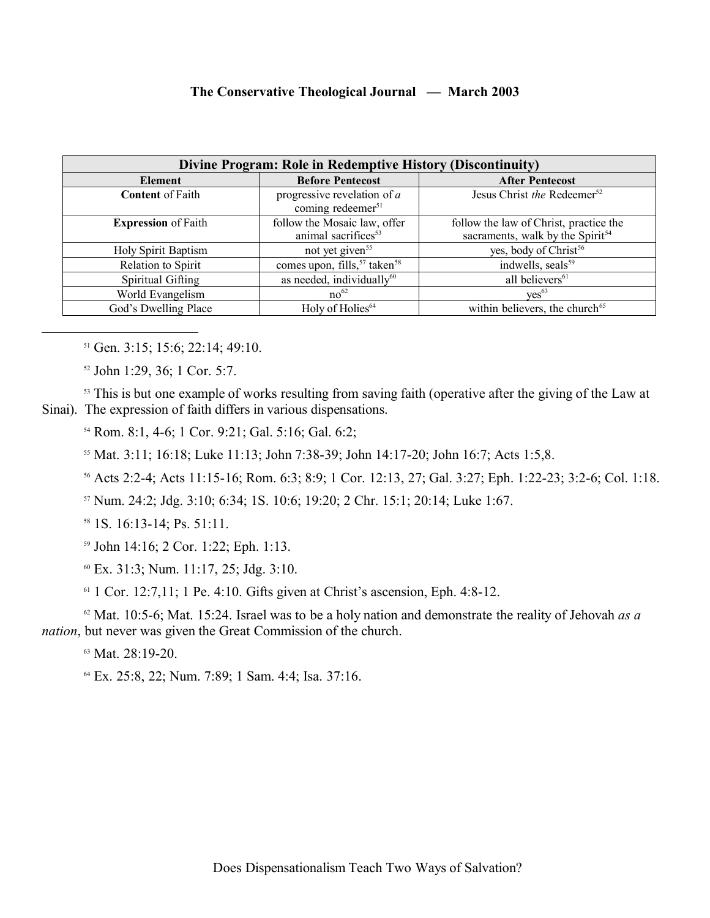| Divine Program: Role in Redemptive History (Discontinuity) |                                                                 |                                                                                        |
|------------------------------------------------------------|-----------------------------------------------------------------|----------------------------------------------------------------------------------------|
| Element                                                    | <b>Before Pentecost</b>                                         | <b>After Pentecost</b>                                                                 |
| <b>Content of Faith</b>                                    | progressive revelation of $a$<br>coming redeemer <sup>51</sup>  | Jesus Christ the Redeemer <sup>52</sup>                                                |
| <b>Expression</b> of Faith                                 | follow the Mosaic law, offer<br>animal sacrifices <sup>53</sup> | follow the law of Christ, practice the<br>sacraments, walk by the Spirit <sup>54</sup> |
| <b>Holy Spirit Baptism</b>                                 | not yet given <sup>55</sup>                                     | yes, body of Christ <sup>56</sup>                                                      |
| Relation to Spirit                                         | comes upon, fills, <sup>57</sup> taken <sup>58</sup>            | indwells, seals <sup>59</sup>                                                          |
| Spiritual Gifting                                          | as needed, individually <sup>60</sup>                           | all believers <sup>61</sup>                                                            |
| World Evangelism                                           | no <sup>62</sup>                                                | $ves^{63}$                                                                             |
| God's Dwelling Place                                       | Holy of Holies <sup>64</sup>                                    | within believers, the church <sup>65</sup>                                             |

<sup>51</sup> Gen. 3:15; 15:6; 22:14; 49:10.

<sup>52</sup> John 1:29, 36; 1 Cor. 5:7.

<sup>53</sup> This is but one example of works resulting from saving faith (operative after the giving of the Law at Sinai). The expression of faith differs in various dispensations.

<sup>54</sup> Rom. 8:1, 4-6; 1 Cor. 9:21; Gal. 5:16; Gal. 6:2;

<sup>55</sup> Mat. 3:11; 16:18; Luke 11:13; John 7:38-39; John 14:17-20; John 16:7; Acts 1:5,8.

<sup>56</sup> Acts 2:2-4; Acts 11:15-16; Rom. 6:3; 8:9; 1 Cor. 12:13, 27; Gal. 3:27; Eph. 1:22-23; 3:2-6; Col. 1:18.

<sup>57</sup> Num. 24:2; Jdg. 3:10; 6:34; 1S. 10:6; 19:20; 2 Chr. 15:1; 20:14; Luke 1:67.

<sup>58</sup> 1S. 16:13-14; Ps. 51:11.

<sup>59</sup> John 14:16; 2 Cor. 1:22; Eph. 1:13.

<sup>60</sup> Ex. 31:3; Num. 11:17, 25; Jdg. 3:10.

 $61$  1 Cor. 12:7,11; 1 Pe. 4:10. Gifts given at Christ's ascension, Eph. 4:8-12.

<sup>62</sup> Mat. 10:5-6; Mat. 15:24. Israel was to be a holy nation and demonstrate the reality of Jehovah *as a nation*, but never was given the Great Commission of the church.

<sup>63</sup> Mat. 28:19-20.

<sup>64</sup> Ex. 25:8, 22; Num. 7:89; 1 Sam. 4:4; Isa. 37:16.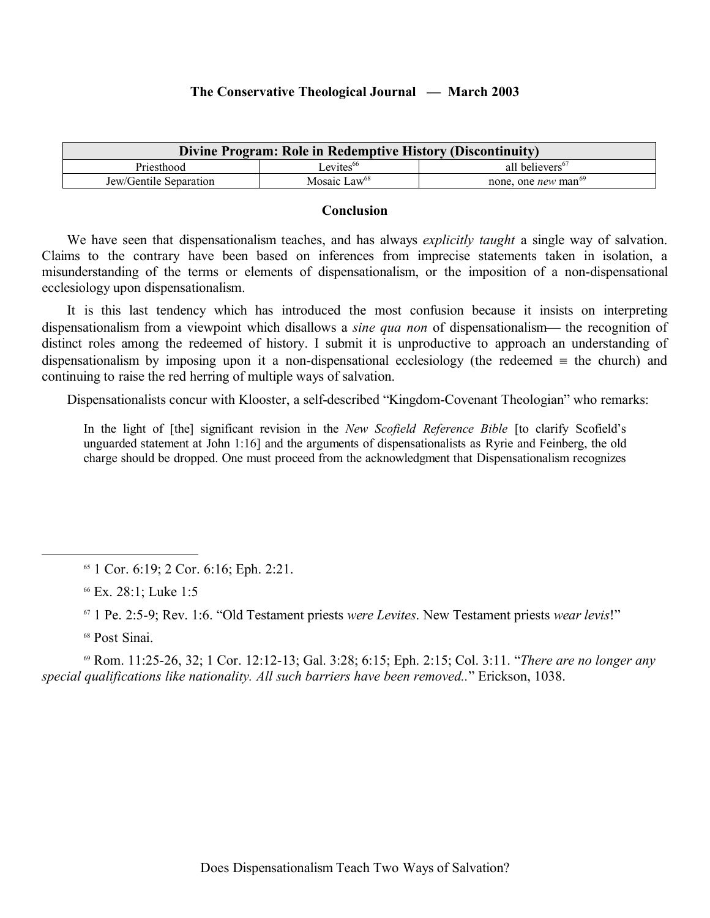| Divine Program: Role in Redemptive History (Discontinuity) |                          |                                        |  |
|------------------------------------------------------------|--------------------------|----------------------------------------|--|
| Priesthood                                                 | $L$ evites <sup>66</sup> | all believers <sup>67</sup>            |  |
| Jew/Gentile Separation                                     | Mosaic Law <sup>68</sup> | none, one <i>new</i> man <sup>69</sup> |  |

#### **Conclusion**

We have seen that dispensationalism teaches, and has always *explicitly taught* a single way of salvation. Claims to the contrary have been based on inferences from imprecise statements taken in isolation, a misunderstanding of the terms or elements of dispensationalism, or the imposition of a non-dispensational ecclesiology upon dispensationalism.

It is this last tendency which has introduced the most confusion because it insists on interpreting dispensationalism from a viewpoint which disallows a *sine qua non* of dispensationalism— the recognition of distinct roles among the redeemed of history. I submit it is unproductive to approach an understanding of dispensationalism by imposing upon it a non-dispensational ecclesiology (the redeemed  $\equiv$  the church) and continuing to raise the red herring of multiple ways of salvation.

Dispensationalists concur with Klooster, a self-described "Kingdom-Covenant Theologian" who remarks:

In the light of [the] significant revision in the *New Scofield Reference Bible* [to clarify Scofield's unguarded statement at John 1:16] and the arguments of dispensationalists as Ryrie and Feinberg, the old charge should be dropped. One must proceed from the acknowledgment that Dispensationalism recognizes

<sup>68</sup> Post Sinai.

<sup>69</sup> Rom. 11:25-26, 32; 1 Cor. 12:12-13; Gal. 3:28; 6:15; Eph. 2:15; Col. 3:11. "*There are no longer any special qualifications like nationality. All such barriers have been removed..*" Erickson, 1038.

<sup>65</sup> 1 Cor. 6:19; 2 Cor. 6:16; Eph. 2:21.

<sup>66</sup> Ex. 28:1; Luke 1:5

<sup>67</sup> 1 Pe. 2:5-9; Rev. 1:6. "Old Testament priests *were Levites*. New Testament priests *wear levis*!"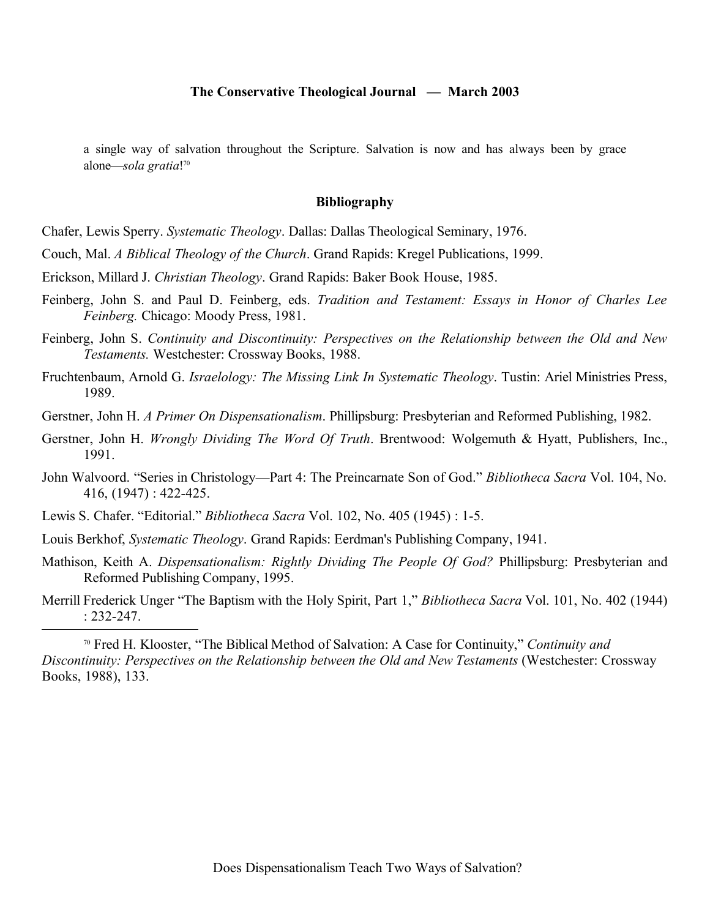a single way of salvation throughout the Scripture. Salvation is now and has always been by grace alone*sola gratia*! 70

#### **Bibliography**

Chafer, Lewis Sperry. *Systematic Theology*. Dallas: Dallas Theological Seminary, 1976.

Couch, Mal. *A Biblical Theology of the Church*. Grand Rapids: Kregel Publications, 1999.

- Erickson, Millard J. *Christian Theology*. Grand Rapids: Baker Book House, 1985.
- Feinberg, John S. and Paul D. Feinberg, eds. *Tradition and Testament: Essays in Honor of Charles Lee Feinberg.* Chicago: Moody Press, 1981.
- Feinberg, John S. *Continuity and Discontinuity: Perspectives on the Relationship between the Old and New Testaments.* Westchester: Crossway Books, 1988.
- Fruchtenbaum, Arnold G. *Israelology: The Missing Link In Systematic Theology*. Tustin: Ariel Ministries Press, 1989.
- Gerstner, John H. *A Primer On Dispensationalism*. Phillipsburg: Presbyterian and Reformed Publishing, 1982.
- Gerstner, John H. *Wrongly Dividing The Word Of Truth*. Brentwood: Wolgemuth & Hyatt, Publishers, Inc., 1991.
- John Walvoord. "Series in Christology—Part 4: The Preincarnate Son of God." *Bibliotheca Sacra* Vol. 104, No. 416, (1947) : 422-425.
- Lewis S. Chafer. "Editorial." *Bibliotheca Sacra* Vol. 102, No. 405 (1945) : 1-5.
- Louis Berkhof, *Systematic Theology*. Grand Rapids: Eerdman's Publishing Company, 1941.
- Mathison, Keith A. *Dispensationalism: Rightly Dividing The People Of God?* Phillipsburg: Presbyterian and Reformed Publishing Company, 1995.
- Merrill Frederick Unger "The Baptism with the Holy Spirit, Part 1," *Bibliotheca Sacra* Vol. 101, No. 402 (1944) : 232-247.

<sup>70</sup> Fred H. Klooster, "The Biblical Method of Salvation: A Case for Continuity," *Continuity and Discontinuity: Perspectives on the Relationship between the Old and New Testaments (Westchester: Crossway* Books, 1988), 133.